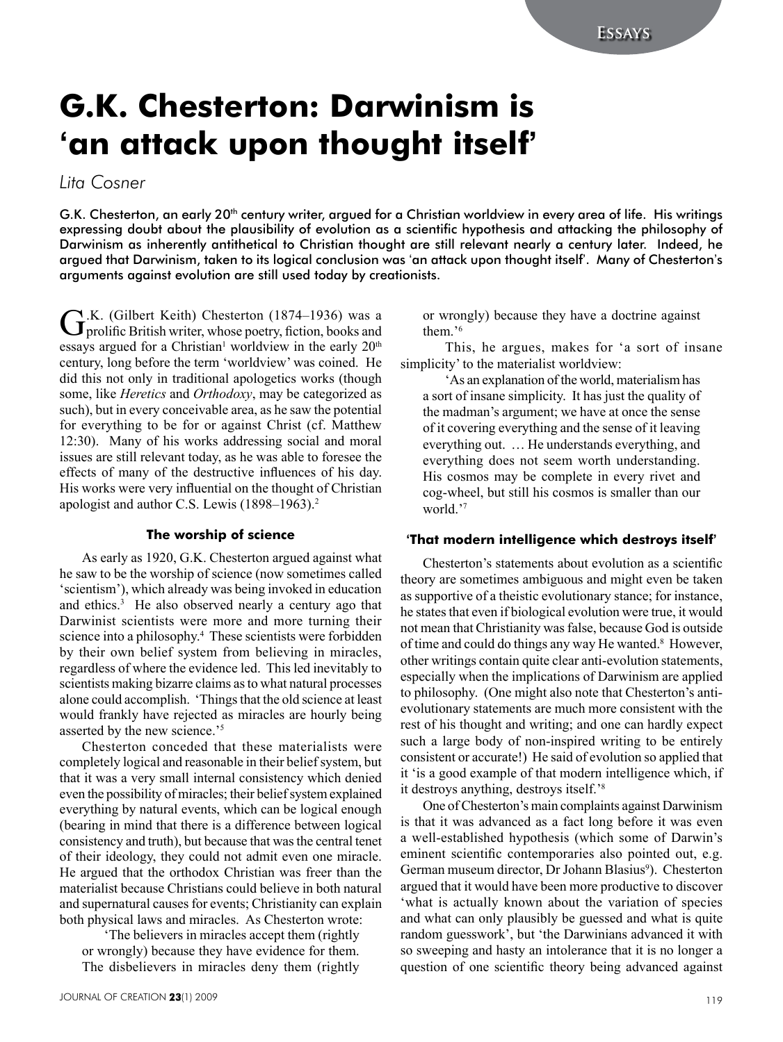# **G.K. Chesterton: Darwinism is 'an attack upon thought itself'**

*Lita Cosner*

G.K. Chesterton, an early 20<sup>th</sup> century writer, argued for a Christian worldview in every area of life. His writings expressing doubt about the plausibility of evolution as a scientific hypothesis and attacking the philosophy of Darwinism as inherently antithetical to Christian thought are still relevant nearly a century later. Indeed, he argued that Darwinism, taken to its logical conclusion was 'an attack upon thought itself'. Many of Chesterton's arguments against evolution are still used today by creationists.

G.K. (Gilbert Keith) Chesterton (1874–1936) was a prolific British writer, whose poetry, fiction, books and essays argued for a Christian<sup>1</sup> worldview in the early  $20<sup>th</sup>$ century, long before the term 'worldview' was coined. He did this not only in traditional apologetics works (though some, like *Heretics* and *Orthodoxy*, may be categorized as such), but in every conceivable area, as he saw the potential for everything to be for or against Christ (cf. Matthew 12:30). Many of his works addressing social and moral issues are still relevant today, as he was able to foresee the effects of many of the destructive influences of his day. His works were very influential on the thought of Christian apologist and author C.S. Lewis (1898–1963).2

#### **The worship of science**

As early as 1920, G.K. Chesterton argued against what he saw to be the worship of science (now sometimes called 'scientism'), which already was being invoked in education and ethics.<sup>3</sup> He also observed nearly a century ago that Darwinist scientists were more and more turning their science into a philosophy.<sup>4</sup> These scientists were forbidden by their own belief system from believing in miracles, regardless of where the evidence led. This led inevitably to scientists making bizarre claims as to what natural processes alone could accomplish. 'Things that the old science at least would frankly have rejected as miracles are hourly being asserted by the new science.'<sup>5</sup>

Chesterton conceded that these materialists were completely logical and reasonable in their belief system, but that it was a very small internal consistency which denied even the possibility of miracles; their belief system explained everything by natural events, which can be logical enough (bearing in mind that there is a difference between logical consistency and truth), but because that was the central tenet of their ideology, they could not admit even one miracle. He argued that the orthodox Christian was freer than the materialist because Christians could believe in both natural and supernatural causes for events; Christianity can explain both physical laws and miracles. As Chesterton wrote:

'The believers in miracles accept them (rightly or wrongly) because they have evidence for them. The disbelievers in miracles deny them (rightly or wrongly) because they have a doctrine against them<sup>36</sup>

This, he argues, makes for 'a sort of insane simplicity' to the materialist worldview:

'As an explanation of the world, materialism has a sort of insane simplicity. It has just the quality of the madman's argument; we have at once the sense of it covering everything and the sense of it leaving everything out. … He understands everything, and everything does not seem worth understanding. His cosmos may be complete in every rivet and cog-wheel, but still his cosmos is smaller than our world.'<sup>7</sup>

# **'That modern intelligence which destroys itself'**

Chesterton's statements about evolution as a scientific theory are sometimes ambiguous and might even be taken as supportive of a theistic evolutionary stance; for instance, he states that even if biological evolution were true, it would not mean that Christianity was false, because God is outside of time and could do things any way He wanted.<sup>8</sup> However, other writings contain quite clear anti-evolution statements, especially when the implications of Darwinism are applied to philosophy. (One might also note that Chesterton's antievolutionary statements are much more consistent with the rest of his thought and writing; and one can hardly expect such a large body of non-inspired writing to be entirely consistent or accurate!) He said of evolution so applied that it 'is a good example of that modern intelligence which, if it destroys anything, destroys itself.'<sup>8</sup>

One of Chesterton's main complaints against Darwinism is that it was advanced as a fact long before it was even a well-established hypothesis (which some of Darwin's eminent scientific contemporaries also pointed out, e.g. German museum director, Dr Johann Blasius<sup>9</sup>). Chesterton argued that it would have been more productive to discover 'what is actually known about the variation of species and what can only plausibly be guessed and what is quite random guesswork', but 'the Darwinians advanced it with so sweeping and hasty an intolerance that it is no longer a question of one scientific theory being advanced against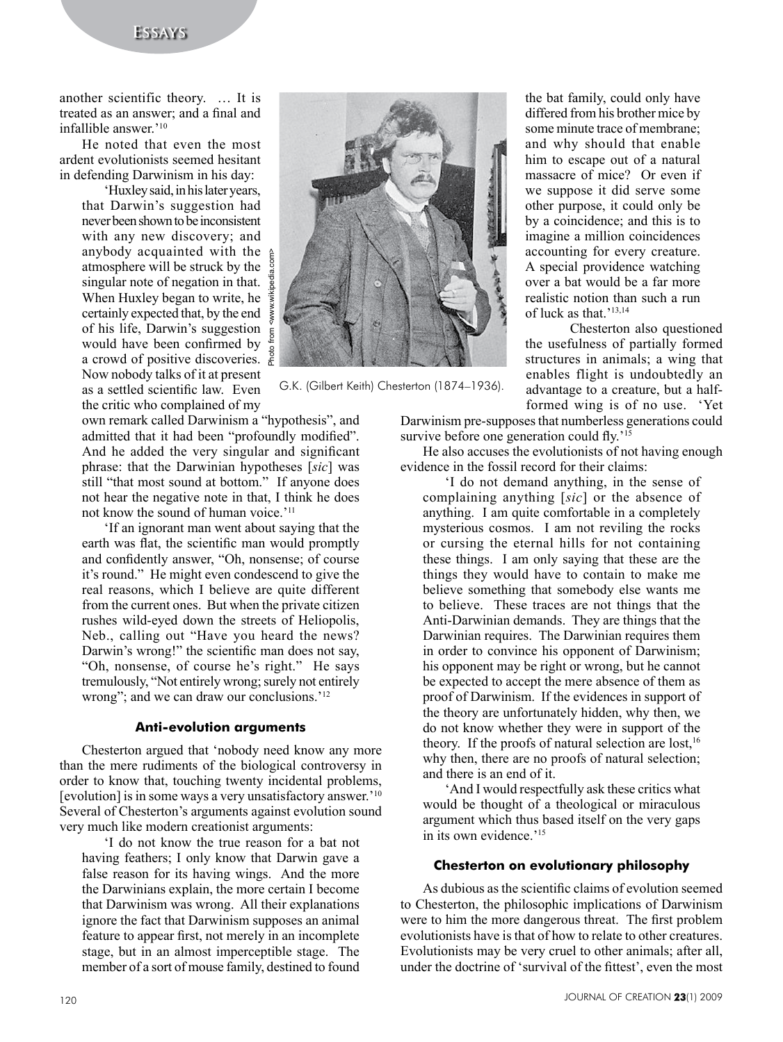# **Essays**

another scientific theory. … It is treated as an answer; and a final and infallible answer<sup>'10</sup>

He noted that even the most ardent evolutionists seemed hesitant in defending Darwinism in his day:

'Huxley said, in his later years, that Darwin's suggestion had never been shown to be inconsistent with any new discovery; and<br>anybody acquainted with the anybody acquainted with the atmosphere will be struck by the singular note of negation in that. When Huxley began to write, he certainly expected that, by the end of his life, Darwin's suggestion would have been confirmed by a crowd of positive discoveries. Now nobody talks of it at present as a settled scientific law. Even the critic who complained of my

own remark called Darwinism a "hypothesis", and admitted that it had been "profoundly modified". And he added the very singular and significant phrase: that the Darwinian hypotheses [*sic*] was still "that most sound at bottom." If anyone does not hear the negative note in that, I think he does not know the sound of human voice.'<sup>11</sup>

'If an ignorant man went about saying that the earth was flat, the scientific man would promptly and confidently answer, "Oh, nonsense; of course it's round." He might even condescend to give the real reasons, which I believe are quite different from the current ones. But when the private citizen rushes wild-eyed down the streets of Heliopolis, Neb., calling out "Have you heard the news? Darwin's wrong!" the scientific man does not say, "Oh, nonsense, of course he's right." He says tremulously, "Not entirely wrong; surely not entirely wrong"; and we can draw our conclusions.<sup>'12</sup>

#### **Anti-evolution arguments**

Chesterton argued that 'nobody need know any more than the mere rudiments of the biological controversy in order to know that, touching twenty incidental problems, [evolution] is in some ways a very unsatisfactory answer.'10 Several of Chesterton's arguments against evolution sound very much like modern creationist arguments:

'I do not know the true reason for a bat not having feathers; I only know that Darwin gave a false reason for its having wings. And the more the Darwinians explain, the more certain I become that Darwinism was wrong. All their explanations ignore the fact that Darwinism supposes an animal feature to appear first, not merely in an incomplete stage, but in an almost imperceptible stage. The member of a sort of mouse family, destined to found



G.K. (Gilbert Keith) Chesterton (1874–1936).

the bat family, could only have differed from his brother mice by some minute trace of membrane; and why should that enable him to escape out of a natural massacre of mice? Or even if we suppose it did serve some other purpose, it could only be by a coincidence; and this is to imagine a million coincidences accounting for every creature. A special providence watching over a bat would be a far more realistic notion than such a run of luck as that.'13,14

Chesterton also questioned the usefulness of partially formed structures in animals; a wing that enables flight is undoubtedly an advantage to a creature, but a halfformed wing is of no use. 'Yet

Darwinism pre-supposes that numberless generations could survive before one generation could fly.<sup>'15</sup>

He also accuses the evolutionists of not having enough evidence in the fossil record for their claims:

'I do not demand anything, in the sense of complaining anything [*sic*] or the absence of anything. I am quite comfortable in a completely mysterious cosmos. I am not reviling the rocks or cursing the eternal hills for not containing these things. I am only saying that these are the things they would have to contain to make me believe something that somebody else wants me to believe. These traces are not things that the Anti-Darwinian demands. They are things that the Darwinian requires. The Darwinian requires them in order to convince his opponent of Darwinism; his opponent may be right or wrong, but he cannot be expected to accept the mere absence of them as proof of Darwinism. If the evidences in support of the theory are unfortunately hidden, why then, we do not know whether they were in support of the theory. If the proofs of natural selection are lost,  $16$ why then, there are no proofs of natural selection; and there is an end of it.

'And I would respectfully ask these critics what would be thought of a theological or miraculous argument which thus based itself on the very gaps in its own evidence.'<sup>15</sup>

# **Chesterton on evolutionary philosophy**

As dubious as the scientific claims of evolution seemed to Chesterton, the philosophic implications of Darwinism were to him the more dangerous threat. The first problem evolutionists have is that of how to relate to other creatures. Evolutionists may be very cruel to other animals; after all, under the doctrine of 'survival of the fittest', even the most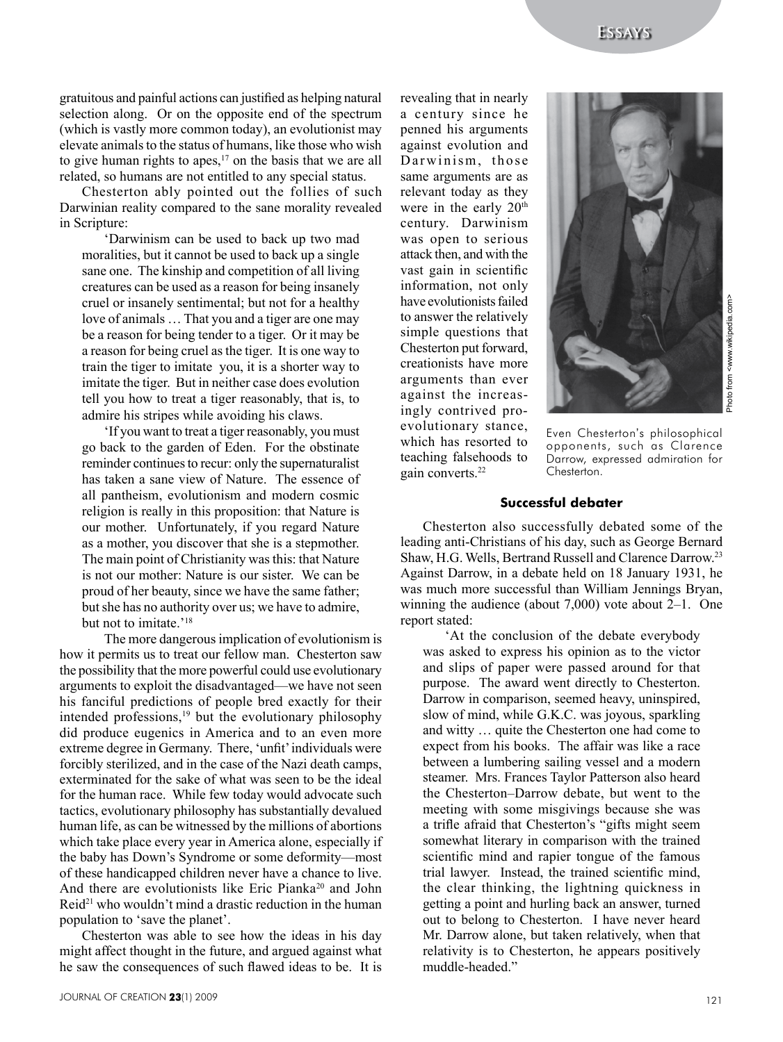gratuitous and painful actions can justified as helping natural selection along. Or on the opposite end of the spectrum (which is vastly more common today), an evolutionist may elevate animals to the status of humans, like those who wish to give human rights to apes, $17$  on the basis that we are all related, so humans are not entitled to any special status.

Chesterton ably pointed out the follies of such Darwinian reality compared to the sane morality revealed in Scripture:

'Darwinism can be used to back up two mad moralities, but it cannot be used to back up a single sane one. The kinship and competition of all living creatures can be used as a reason for being insanely cruel or insanely sentimental; but not for a healthy love of animals … That you and a tiger are one may be a reason for being tender to a tiger. Or it may be a reason for being cruel as the tiger. It is one way to train the tiger to imitate you, it is a shorter way to imitate the tiger. But in neither case does evolution tell you how to treat a tiger reasonably, that is, to admire his stripes while avoiding his claws.

'If you want to treat a tiger reasonably, you must go back to the garden of Eden. For the obstinate reminder continues to recur: only the supernaturalist has taken a sane view of Nature. The essence of all pantheism, evolutionism and modern cosmic religion is really in this proposition: that Nature is our mother. Unfortunately, if you regard Nature as a mother, you discover that she is a stepmother. The main point of Christianity was this: that Nature is not our mother: Nature is our sister. We can be proud of her beauty, since we have the same father; but she has no authority over us; we have to admire, but not to imitate.'<sup>18</sup>

The more dangerous implication of evolutionism is how it permits us to treat our fellow man. Chesterton saw the possibility that the more powerful could use evolutionary arguments to exploit the disadvantaged—we have not seen his fanciful predictions of people bred exactly for their intended professions, $19$  but the evolutionary philosophy did produce eugenics in America and to an even more extreme degree in Germany. There, 'unfit' individuals were forcibly sterilized, and in the case of the Nazi death camps, exterminated for the sake of what was seen to be the ideal for the human race. While few today would advocate such tactics, evolutionary philosophy has substantially devalued human life, as can be witnessed by the millions of abortions which take place every year in America alone, especially if the baby has Down's Syndrome or some deformity—most of these handicapped children never have a chance to live. And there are evolutionists like Eric Pianka<sup>20</sup> and John Reid<sup>21</sup> who wouldn't mind a drastic reduction in the human population to 'save the planet'.

Chesterton was able to see how the ideas in his day might affect thought in the future, and argued against what he saw the consequences of such flawed ideas to be. It is revealing that in nearly a century since he penned his arguments against evolution and Darwinism, those same arguments are as relevant today as they were in the early 20<sup>th</sup> century. Darwinism was open to serious attack then, and with the vast gain in scientific information, not only have evolutionists failed to answer the relatively simple questions that Chesterton put forward, creationists have more arguments than ever against the increasingly contrived proevolutionary stance, which has resorted to teaching falsehoods to gain converts.<sup>22</sup>



Even Chesterton's philosophical opponents, such as Clarence Darrow, expressed admiration for Chesterton.

# **Successful debater**

Chesterton also successfully debated some of the leading anti-Christians of his day, such as George Bernard Shaw, H.G. Wells, Bertrand Russell and Clarence Darrow.23 Against Darrow, in a debate held on 18 January 1931, he was much more successful than William Jennings Bryan, winning the audience (about 7,000) vote about 2–1. One report stated:

'At the conclusion of the debate everybody was asked to express his opinion as to the victor and slips of paper were passed around for that purpose. The award went directly to Chesterton. Darrow in comparison, seemed heavy, uninspired, slow of mind, while G.K.C. was joyous, sparkling and witty … quite the Chesterton one had come to expect from his books. The affair was like a race between a lumbering sailing vessel and a modern steamer. Mrs. Frances Taylor Patterson also heard the Chesterton–Darrow debate, but went to the meeting with some misgivings because she was a trifle afraid that Chesterton's "gifts might seem somewhat literary in comparison with the trained scientific mind and rapier tongue of the famous trial lawyer. Instead, the trained scientific mind, the clear thinking, the lightning quickness in getting a point and hurling back an answer, turned out to belong to Chesterton. I have never heard Mr. Darrow alone, but taken relatively, when that relativity is to Chesterton, he appears positively muddle-headed."